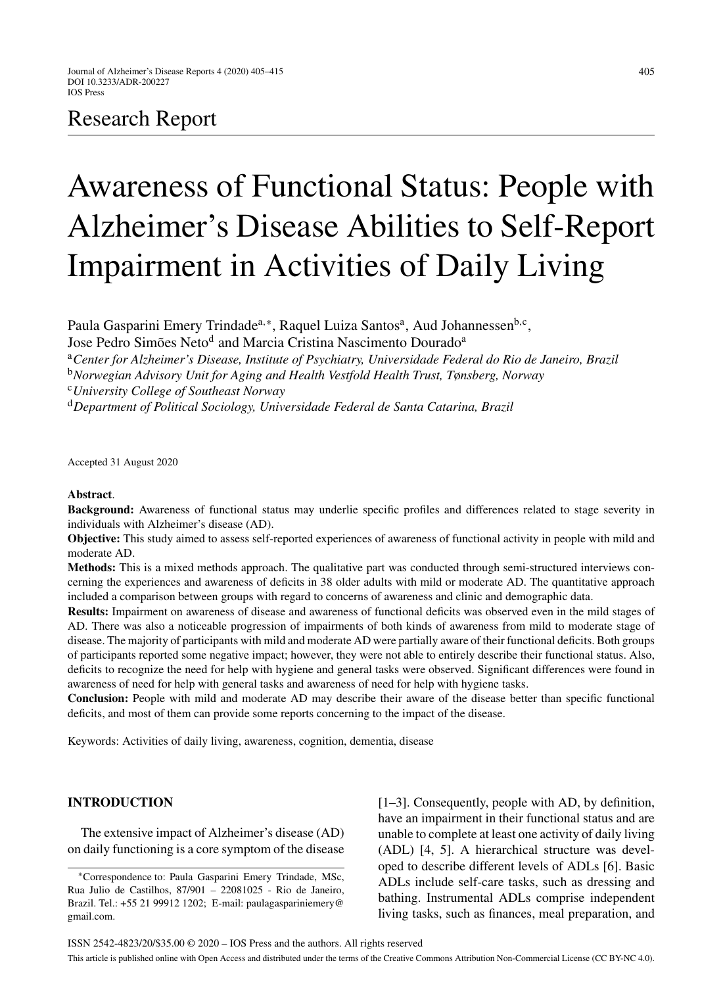# Research Report

# Awareness of Functional Status: People with Alzheimer's Disease Abilities to Self-Report Impairment in Activities of Daily Living

Paula Gasparini Emery Trindade<sup>a,∗</sup>, Raquel Luiza Santos<sup>a</sup>, Aud Johannessen<sup>b,c</sup>, Jose Pedro Simões Neto<sup>d</sup> and Marcia Cristina Nascimento Dourado<sup>a</sup>

<sup>a</sup>*Center for Alzheimer's Disease, Institute of Psychiatry, Universidade Federal do Rio de Janeiro, Brazil*

<sup>b</sup>*Norwegian Advisory Unit for Aging and Health Vestfold Health Trust, T*ø*nsberg, Norway*

<sup>c</sup>*University College of Southeast Norway*

<sup>d</sup>*Department of Political Sociology, Universidade Federal de Santa Catarina, Brazil*

Accepted 31 August 2020

#### **Abstract**.

**Background:** Awareness of functional status may underlie specific profiles and differences related to stage severity in individuals with Alzheimer's disease (AD).

**Objective:** This study aimed to assess self-reported experiences of awareness of functional activity in people with mild and moderate AD.

**Methods:** This is a mixed methods approach. The qualitative part was conducted through semi-structured interviews concerning the experiences and awareness of deficits in 38 older adults with mild or moderate AD. The quantitative approach included a comparison between groups with regard to concerns of awareness and clinic and demographic data.

**Results:** Impairment on awareness of disease and awareness of functional deficits was observed even in the mild stages of AD. There was also a noticeable progression of impairments of both kinds of awareness from mild to moderate stage of disease. The majority of participants with mild and moderate AD were partially aware of their functional deficits. Both groups of participants reported some negative impact; however, they were not able to entirely describe their functional status. Also, deficits to recognize the need for help with hygiene and general tasks were observed. Significant differences were found in awareness of need for help with general tasks and awareness of need for help with hygiene tasks.

**Conclusion:** People with mild and moderate AD may describe their aware of the disease better than specific functional deficits, and most of them can provide some reports concerning to the impact of the disease.

Keywords: Activities of daily living, awareness, cognition, dementia, disease

# **INTRODUCTION**

The extensive impact of Alzheimer's disease (AD) on daily functioning is a core symptom of the disease [1–3]. Consequently, people with AD, by definition, have an impairment in their functional status and are unable to complete at least one activity of daily living (ADL) [4, 5]. A hierarchical structure was developed to describe different levels of ADLs [6]. Basic ADLs include self-care tasks, such as dressing and bathing. Instrumental ADLs comprise independent living tasks, such as finances, meal preparation, and

<sup>∗</sup>Correspondence to: Paula Gasparini Emery Trindade, MSc, Rua Julio de Castilhos, 87/901 – 22081025 - Rio de Janeiro, Brazil. Tel.: +55 21 99912 1202; E-mail: [paulagaspariniemery@](mailto:paulagaspariniemery@{penalty -@M }gmail.com) gmail.com.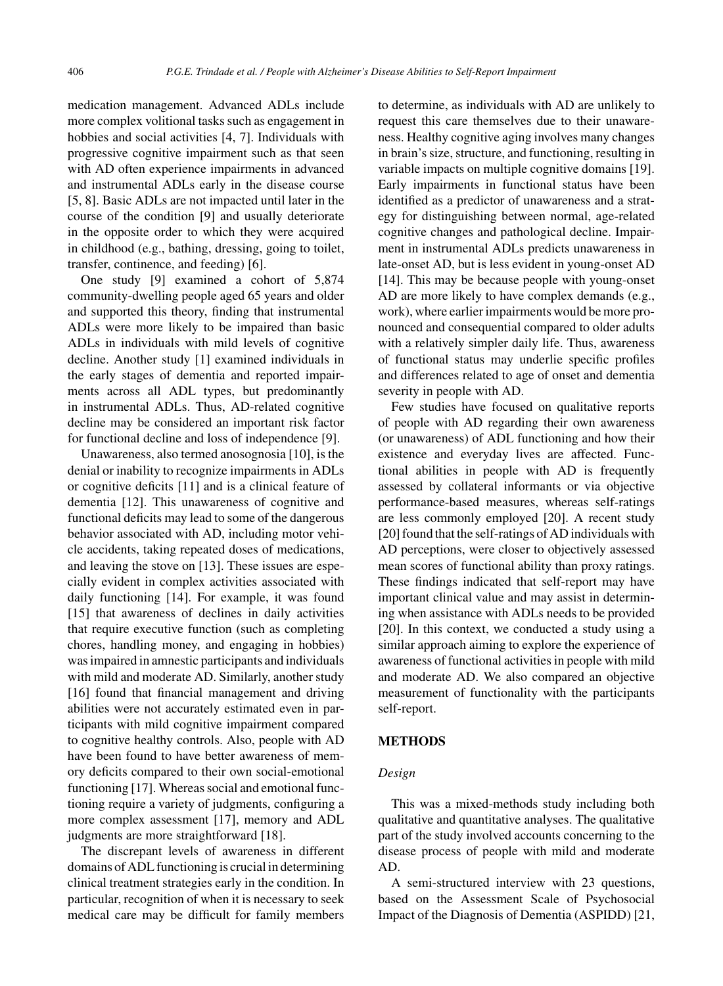medication management. Advanced ADLs include more complex volitional tasks such as engagement in hobbies and social activities [4, 7]. Individuals with progressive cognitive impairment such as that seen with AD often experience impairments in advanced and instrumental ADLs early in the disease course [5, 8]. Basic ADLs are not impacted until later in the course of the condition [9] and usually deteriorate in the opposite order to which they were acquired in childhood (e.g., bathing, dressing, going to toilet, transfer, continence, and feeding) [6].

One study [9] examined a cohort of 5,874 community-dwelling people aged 65 years and older and supported this theory, finding that instrumental ADLs were more likely to be impaired than basic ADLs in individuals with mild levels of cognitive decline. Another study [1] examined individuals in the early stages of dementia and reported impairments across all ADL types, but predominantly in instrumental ADLs. Thus, AD-related cognitive decline may be considered an important risk factor for functional decline and loss of independence [9].

Unawareness, also termed anosognosia [10], is the denial or inability to recognize impairments in ADLs or cognitive deficits [11] and is a clinical feature of dementia [12]. This unawareness of cognitive and functional deficits may lead to some of the dangerous behavior associated with AD, including motor vehicle accidents, taking repeated doses of medications, and leaving the stove on [13]. These issues are especially evident in complex activities associated with daily functioning [14]. For example, it was found [15] that awareness of declines in daily activities that require executive function (such as completing chores, handling money, and engaging in hobbies) was impaired in amnestic participants and individuals with mild and moderate AD. Similarly, another study [16] found that financial management and driving abilities were not accurately estimated even in participants with mild cognitive impairment compared to cognitive healthy controls. Also, people with AD have been found to have better awareness of memory deficits compared to their own social-emotional functioning [17]. Whereas social and emotional functioning require a variety of judgments, configuring a more complex assessment [17], memory and ADL judgments are more straightforward [18].

The discrepant levels of awareness in different domains of ADL functioning is crucial in determining clinical treatment strategies early in the condition. In particular, recognition of when it is necessary to seek medical care may be difficult for family members to determine, as individuals with AD are unlikely to request this care themselves due to their unawareness. Healthy cognitive aging involves many changes in brain's size, structure, and functioning, resulting in variable impacts on multiple cognitive domains [19]. Early impairments in functional status have been identified as a predictor of unawareness and a strategy for distinguishing between normal, age-related cognitive changes and pathological decline. Impairment in instrumental ADLs predicts unawareness in late-onset AD, but is less evident in young-onset AD [14]. This may be because people with young-onset AD are more likely to have complex demands (e.g., work), where earlier impairments would be more pronounced and consequential compared to older adults with a relatively simpler daily life. Thus, awareness of functional status may underlie specific profiles and differences related to age of onset and dementia severity in people with AD.

Few studies have focused on qualitative reports of people with AD regarding their own awareness (or unawareness) of ADL functioning and how their existence and everyday lives are affected. Functional abilities in people with AD is frequently assessed by collateral informants or via objective performance-based measures, whereas self-ratings are less commonly employed [20]. A recent study [20] found that the self-ratings of AD individuals with AD perceptions, were closer to objectively assessed mean scores of functional ability than proxy ratings. These findings indicated that self-report may have important clinical value and may assist in determining when assistance with ADLs needs to be provided [20]. In this context, we conducted a study using a similar approach aiming to explore the experience of awareness of functional activities in people with mild and moderate AD. We also compared an objective measurement of functionality with the participants self-report.

# **METHODS**

# *Design*

This was a mixed-methods study including both qualitative and quantitative analyses. The qualitative part of the study involved accounts concerning to the disease process of people with mild and moderate AD.

A semi-structured interview with 23 questions, based on the Assessment Scale of Psychosocial Impact of the Diagnosis of Dementia (ASPIDD) [21,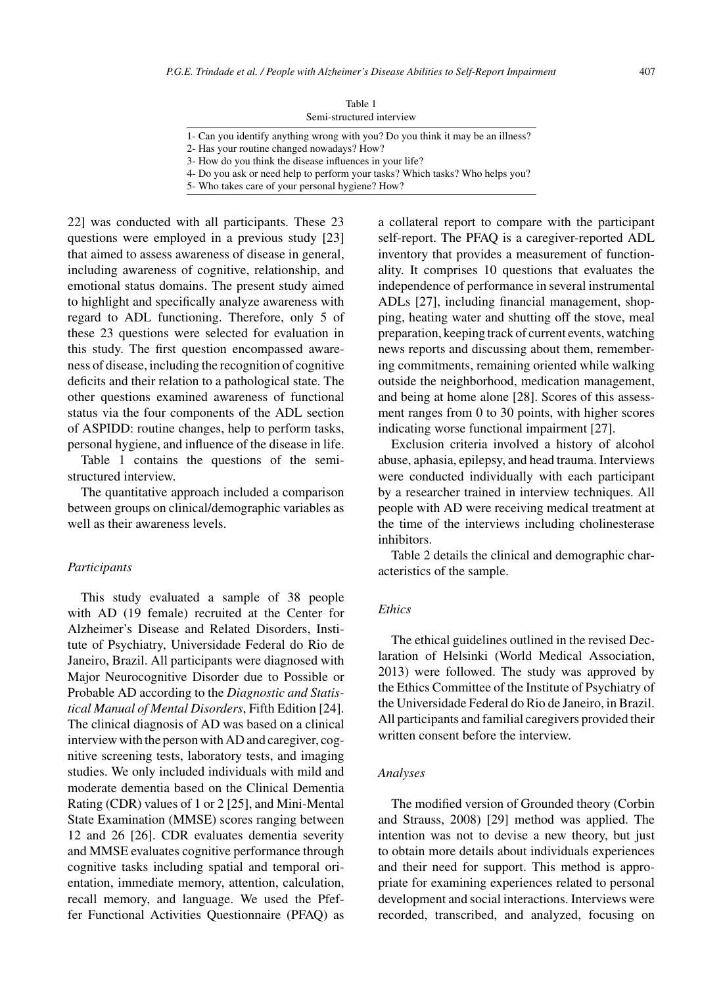| Table 1                   |  |  |  |  |  |  |
|---------------------------|--|--|--|--|--|--|
| Semi-structured interview |  |  |  |  |  |  |

1- Can you identify anything wrong with you? Do you think it may be an illness?

2- Has your routine changed nowadays? How?

3- How do you think the disease influences in your life?

4- Do you ask or need help to perform your tasks? Which tasks? Who helps you?

5- Who takes care of your personal hygiene? How?

22] was conducted with all participants. These 23 questions were employed in a previous study [23] that aimed to assess awareness of disease in general, including awareness of cognitive, relationship, and emotional status domains. The present study aimed to highlight and specifically analyze awareness with regard to ADL functioning. Therefore, only 5 of these 23 questions were selected for evaluation in this study. The first question encompassed awareness of disease, including the recognition of cognitive deficits and their relation to a pathological state. The other questions examined awareness of functional status via the four components of the ADL section of ASPIDD: routine changes, help to perform tasks, personal hygiene, and influence of the disease in life.

Table 1 contains the questions of the semistructured interview.

The quantitative approach included a comparison between groups on clinical/demographic variables as well as their awareness levels.

#### *Participants*

This study evaluated a sample of 38 people with AD (19 female) recruited at the Center for Alzheimer's Disease and Related Disorders, Institute of Psychiatry, Universidade Federal do Rio de Janeiro, Brazil. All participants were diagnosed with Major Neurocognitive Disorder due to Possible or Probable AD according to the *Diagnostic and Statistical Manual of Mental Disorders*, Fifth Edition [24]. The clinical diagnosis of AD was based on a clinical interview with the person with AD and caregiver, cognitive screening tests, laboratory tests, and imaging studies. We only included individuals with mild and moderate dementia based on the Clinical Dementia Rating (CDR) values of 1 or 2 [25], and Mini-Mental State Examination (MMSE) scores ranging between 12 and 26 [26]. CDR evaluates dementia severity and MMSE evaluates cognitive performance through cognitive tasks including spatial and temporal orientation, immediate memory, attention, calculation, recall memory, and language. We used the Pfeffer Functional Activities Questionnaire (PFAQ) as

a collateral report to compare with the participant self-report. The PFAQ is a caregiver-reported ADL inventory that provides a measurement of functionality. It comprises 10 questions that evaluates the independence of performance in several instrumental ADLs [27], including financial management, shopping, heating water and shutting off the stove, meal preparation, keeping track of current events, watching news reports and discussing about them, remembering commitments, remaining oriented while walking outside the neighborhood, medication management, and being at home alone [28]. Scores of this assessment ranges from 0 to 30 points, with higher scores indicating worse functional impairment [27].

Exclusion criteria involved a history of alcohol abuse, aphasia, epilepsy, and head trauma. Interviews were conducted individually with each participant by a researcher trained in interview techniques. All people with AD were receiving medical treatment at the time of the interviews including cholinesterase inhibitors.

Table 2 details the clinical and demographic characteristics of the sample.

#### *Ethics*

The ethical guidelines outlined in the revised Declaration of Helsinki (World Medical Association, 2013) were followed. The study was approved by the Ethics Committee of the Institute of Psychiatry of the Universidade Federal do Rio de Janeiro, in Brazil. All participants and familial caregivers provided their written consent before the interview.

# *Analyses*

The modified version of Grounded theory (Corbin and Strauss, 2008) [29] method was applied. The intention was not to devise a new theory, but just to obtain more details about individuals experiences and their need for support. This method is appropriate for examining experiences related to personal development and social interactions. Interviews were recorded, transcribed, and analyzed, focusing on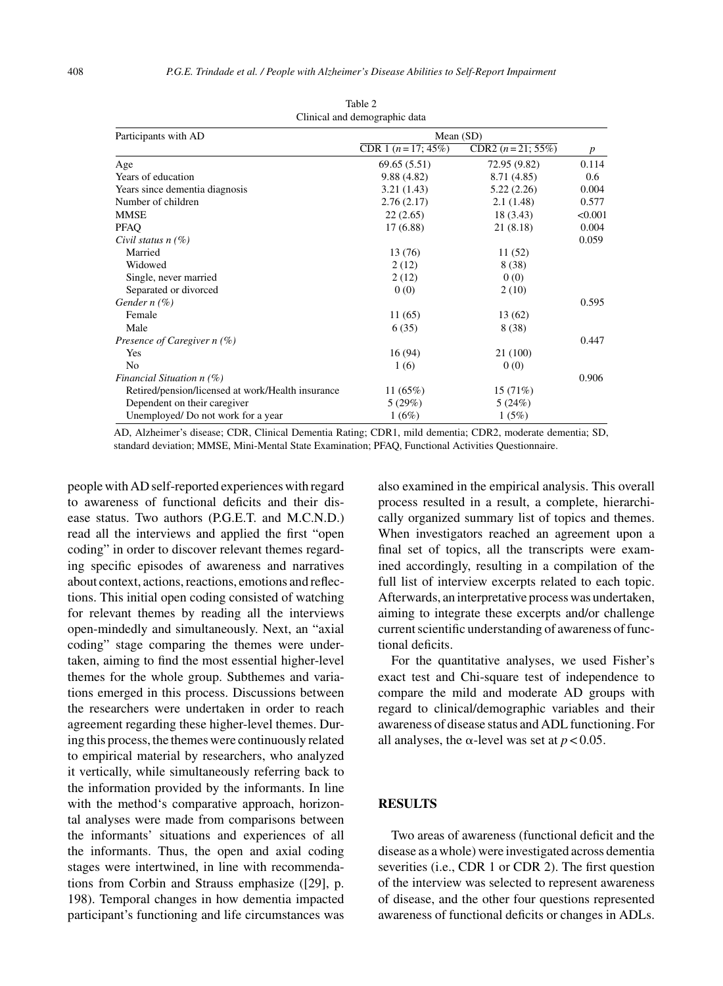| Participants with AD                              | Mean $(SD)$         |                     |                  |  |  |
|---------------------------------------------------|---------------------|---------------------|------------------|--|--|
|                                                   | CDR $1(n=17; 45\%)$ | CDR2 $(n=21; 55\%)$ | $\boldsymbol{p}$ |  |  |
| Age                                               | 69.65(5.51)         | 72.95 (9.82)        | 0.114            |  |  |
| Years of education                                | 9.88(4.82)          | 8.71 (4.85)         | 0.6              |  |  |
| Years since dementia diagnosis                    | 3.21(1.43)          | 5.22(2.26)          | 0.004            |  |  |
| Number of children                                | 2.76(2.17)          | 2.1(1.48)           | 0.577            |  |  |
| MMSE                                              | 22(2.65)            | 18 (3.43)           | < 0.001          |  |  |
| PFAQ                                              | 17(6.88)            | 21 (8.18)           | 0.004            |  |  |
| Civil status $n(\%)$                              |                     |                     | 0.059            |  |  |
| Married                                           | 13 (76)             | 11(52)              |                  |  |  |
| Widowed                                           | 2(12)               | 8 (38)              |                  |  |  |
| Single, never married                             | 2(12)               | 0(0)                |                  |  |  |
| Separated or divorced                             | 0(0)                | 2(10)               |                  |  |  |
| Gender $n$ (%)                                    |                     |                     | 0.595            |  |  |
| Female                                            | 11(65)              | 13 (62)             |                  |  |  |
| Male                                              | 6(35)               | 8 (38)              |                  |  |  |
| Presence of Caregiver n (%)                       |                     |                     | 0.447            |  |  |
| Yes                                               | 16(94)              | 21 (100)            |                  |  |  |
| N <sub>0</sub>                                    | 1(6)                | 0(0)                |                  |  |  |
| Financial Situation $n(\%)$                       |                     |                     | 0.906            |  |  |
| Retired/pension/licensed at work/Health insurance | 11(65%)             | 15(71%)             |                  |  |  |
| Dependent on their caregiver                      | 5(29%)              | 5(24%)              |                  |  |  |
| Unemployed/ Do not work for a year                | 1(6%)               | 1(5%)               |                  |  |  |

Table 2 Clinical and demographic data

AD, Alzheimer's disease; CDR, Clinical Dementia Rating; CDR1, mild dementia; CDR2, moderate dementia; SD, standard deviation; MMSE, Mini-Mental State Examination; PFAQ, Functional Activities Questionnaire.

people with AD self-reported experiences with regard to awareness of functional deficits and their disease status. Two authors (P.G.E.T. and M.C.N.D.) read all the interviews and applied the first "open coding" in order to discover relevant themes regarding specific episodes of awareness and narratives about context, actions, reactions, emotions and reflections. This initial open coding consisted of watching for relevant themes by reading all the interviews open-mindedly and simultaneously. Next, an "axial coding" stage comparing the themes were undertaken, aiming to find the most essential higher-level themes for the whole group. Subthemes and variations emerged in this process. Discussions between the researchers were undertaken in order to reach agreement regarding these higher-level themes. During this process, the themes were continuously related to empirical material by researchers, who analyzed it vertically, while simultaneously referring back to the information provided by the informants. In line with the method's comparative approach, horizontal analyses were made from comparisons between the informants' situations and experiences of all the informants. Thus, the open and axial coding stages were intertwined, in line with recommendations from Corbin and Strauss emphasize ([29], p. 198). Temporal changes in how dementia impacted participant's functioning and life circumstances was

also examined in the empirical analysis. This overall process resulted in a result, a complete, hierarchically organized summary list of topics and themes. When investigators reached an agreement upon a final set of topics, all the transcripts were examined accordingly, resulting in a compilation of the full list of interview excerpts related to each topic. Afterwards, an interpretative process was undertaken, aiming to integrate these excerpts and/or challenge current scientific understanding of awareness of functional deficits.

For the quantitative analyses, we used Fisher's exact test and Chi-square test of independence to compare the mild and moderate AD groups with regard to clinical/demographic variables and their awareness of disease status and ADL functioning. For all analyses, the  $\alpha$ -level was set at  $p < 0.05$ .

#### **RESULTS**

Two areas of awareness (functional deficit and the disease as a whole) were investigated across dementia severities (i.e., CDR 1 or CDR 2). The first question of the interview was selected to represent awareness of disease, and the other four questions represented awareness of functional deficits or changes in ADLs.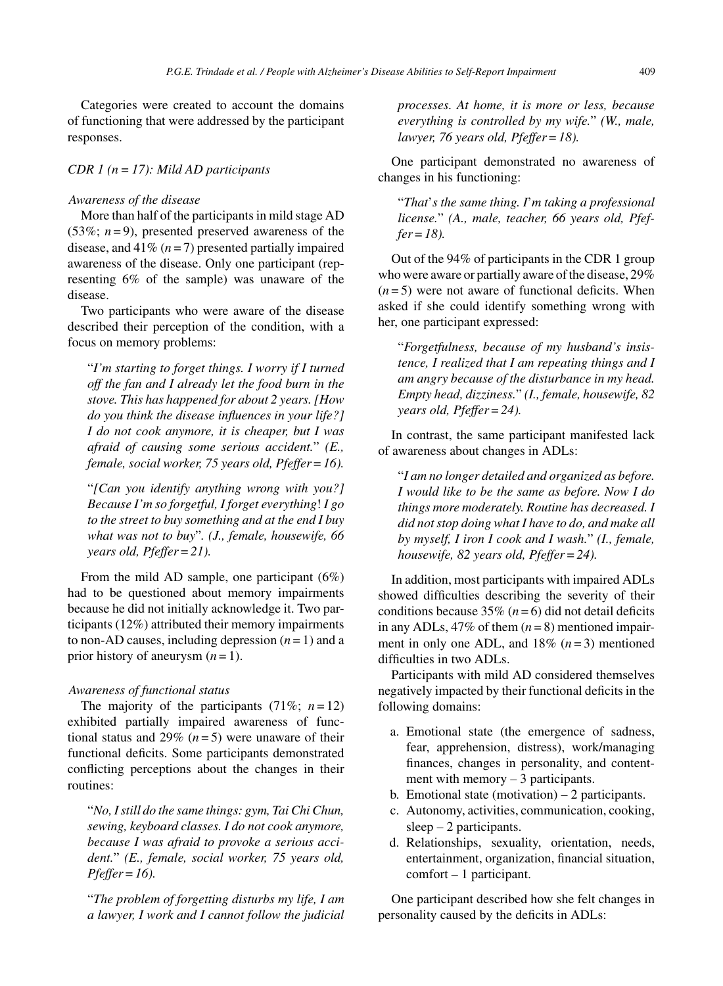Categories were created to account the domains of functioning that were addressed by the participant responses.

## *CDR 1 (n = 17): Mild AD participants*

#### *Awareness of the disease*

More than half of the participants in mild stage AD (53%;  $n=9$ ), presented preserved awareness of the disease, and  $41\%$  ( $n=7$ ) presented partially impaired awareness of the disease. Only one participant (representing 6% of the sample) was unaware of the disease.

Two participants who were aware of the disease described their perception of the condition, with a focus on memory problems:

"*I'm starting to forget things. I worry if I turned off the fan and I already let the food burn in the stove. This has happened for about 2 years. [How do you think the disease influences in your life?] I do not cook anymore, it is cheaper, but I was afraid of causing some serious accident.*" *(E., female, social worker, 75 years old, Pfeffer* = *16).*

"*[Can you identify anything wrong with you?] Because I'm so forgetful, I forget everything*! *I go to the street to buy something and at the end I buy what was not to buy*"*. (J., female, housewife, 66 years old, Pfeffer* = *21).*

From the mild AD sample, one participant (6%) had to be questioned about memory impairments because he did not initially acknowledge it. Two participants (12%) attributed their memory impairments to non-AD causes, including depression  $(n = 1)$  and a prior history of aneurysm (*n* = 1).

#### *Awareness of functional status*

The majority of the participants  $(71\%; n=12)$ exhibited partially impaired awareness of functional status and 29%  $(n=5)$  were unaware of their functional deficits. Some participants demonstrated conflicting perceptions about the changes in their routines:

"*No, I still do the same things: gym, Tai Chi Chun, sewing, keyboard classes. I do not cook anymore, because I was afraid to provoke a serious accident.*" *(E., female, social worker, 75 years old, Pfeffer* = *16).*

"*The problem of forgetting disturbs my life, I am a lawyer, I work and I cannot follow the judicial* *processes. At home, it is more or less, because everything is controlled by my wife.*" *(W., male, lawyer, 76 years old, Pfeffer* = *18).*

One participant demonstrated no awareness of changes in his functioning:

"*That*'*s the same thing. I*'*m taking a professional license.*" *(A., male, teacher, 66 years old, Pfef* $fer = 18$ ).

Out of the 94% of participants in the CDR 1 group who were aware or partially aware of the disease, 29%  $(n=5)$  were not aware of functional deficits. When asked if she could identify something wrong with her, one participant expressed:

"*Forgetfulness, because of my husband's insistence, I realized that I am repeating things and I am angry because of the disturbance in my head. Empty head, dizziness.*" *(I., female, housewife, 82 years old, Pfeffer* = *24).*

In contrast, the same participant manifested lack of awareness about changes in ADLs:

"*I am no longer detailed and organized as before. I would like to be the same as before. Now I do things more moderately. Routine has decreased. I did not stop doing what I have to do, and make all by myself, I iron I cook and I wash.*" *(I., female, housewife, 82 years old, Pfeffer* = *24).*

In addition, most participants with impaired ADLs showed difficulties describing the severity of their conditions because  $35\%$  ( $n = 6$ ) did not detail deficits in any ADLs,  $47\%$  of them  $(n=8)$  mentioned impairment in only one ADL, and  $18\%$   $(n=3)$  mentioned difficulties in two ADLs.

Participants with mild AD considered themselves negatively impacted by their functional deficits in the following domains:

- a. Emotional state (the emergence of sadness, fear, apprehension, distress), work/managing finances, changes in personality, and contentment with memory  $-3$  participants.
- b. Emotional state (motivation)  $-2$  participants.
- c. Autonomy, activities, communication, cooking, sleep  $-2$  participants.
- d. Relationships, sexuality, orientation, needs, entertainment, organization, financial situation, comfort – 1 participant.

One participant described how she felt changes in personality caused by the deficits in ADLs: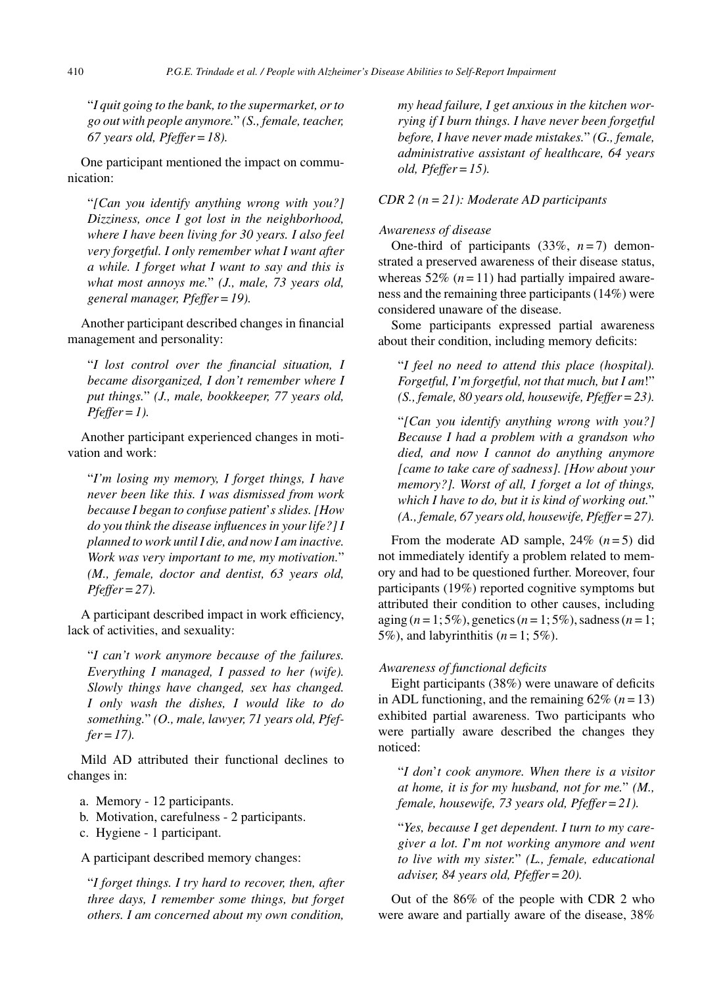"*I quit going to the bank, to the supermarket, or to go out with people anymore.*" *(S., female, teacher, 67 years old, Pfeffer* = *18).*

One participant mentioned the impact on communication:

"*[Can you identify anything wrong with you?] Dizziness, once I got lost in the neighborhood, where I have been living for 30 years. I also feel very forgetful. I only remember what I want after a while. I forget what I want to say and this is what most annoys me.*" *(J., male, 73 years old, general manager, Pfeffer* = *19).*

Another participant described changes in financial management and personality:

"*I lost control over the financial situation, I became disorganized, I don't remember where I put things.*" *(J., male, bookkeeper, 77 years old, Pfeffer* = *1).*

Another participant experienced changes in motivation and work:

"*I'm losing my memory, I forget things, I have never been like this. I was dismissed from work because I began to confuse patient*'*s slides. [How do you think the disease influences in your life?] I planned to work until I die, and now I am inactive. Work was very important to me, my motivation.*" *(M., female, doctor and dentist, 63 years old, Pfeffer* = *27).*

A participant described impact in work efficiency, lack of activities, and sexuality:

"*I can't work anymore because of the failures. Everything I managed, I passed to her (wife). Slowly things have changed, sex has changed. I only wash the dishes, I would like to do something.*" *(O., male, lawyer, 71 years old, Pfef* $fer = 17$ ).

Mild AD attributed their functional declines to changes in:

- a. Memory 12 participants.
- b. Motivation, carefulness 2 participants.
- c. Hygiene 1 participant.

A participant described memory changes:

"*I forget things. I try hard to recover, then, after three days, I remember some things, but forget others. I am concerned about my own condition,*

*my head failure, I get anxious in the kitchen worrying if I burn things. I have never been forgetful before, I have never made mistakes.*" *(G., female, administrative assistant of healthcare, 64 years old, Pfeffer* = *15).*

#### *CDR 2 (n = 21): Moderate AD participants*

# *Awareness of disease*

One-third of participants  $(33\%, n=7)$  demonstrated a preserved awareness of their disease status, whereas  $52\%$  ( $n = 11$ ) had partially impaired awareness and the remaining three participants (14%) were considered unaware of the disease.

Some participants expressed partial awareness about their condition, including memory deficits:

"*I feel no need to attend this place (hospital). Forgetful, I'm forgetful, not that much, but I am*!" *(S., female, 80 years old, housewife, Pfeffer* = *23).*

"*[Can you identify anything wrong with you?] Because I had a problem with a grandson who died, and now I cannot do anything anymore [came to take care of sadness]. [How about your memory?]. Worst of all, I forget a lot of things, which I have to do, but it is kind of working out.*" *(A., female, 67 years old, housewife, Pfeffer* = *27).*

From the moderate AD sample,  $24\%$   $(n=5)$  did not immediately identify a problem related to memory and had to be questioned further. Moreover, four participants (19%) reported cognitive symptoms but attributed their condition to other causes, including aging  $(n=1; 5\%)$ , genetics  $(n=1; 5\%)$ , sadness  $(n=1;$ 5%), and labyrinthitis (*n* = 1; 5%).

# *Awareness of functional deficits*

Eight participants (38%) were unaware of deficits in ADL functioning, and the remaining  $62\%$  ( $n = 13$ ) exhibited partial awareness. Two participants who were partially aware described the changes they noticed:

"*I don*'*t cook anymore. When there is a visitor at home, it is for my husband, not for me.*" *(M., female, housewife, 73 years old, Pfeffer* = *21).*

"*Yes, because I get dependent. I turn to my caregiver a lot. I*'*m not working anymore and went to live with my sister.*" *(L., female, educational adviser, 84 years old, Pfeffer* = *20).*

Out of the 86% of the people with CDR 2 who were aware and partially aware of the disease, 38%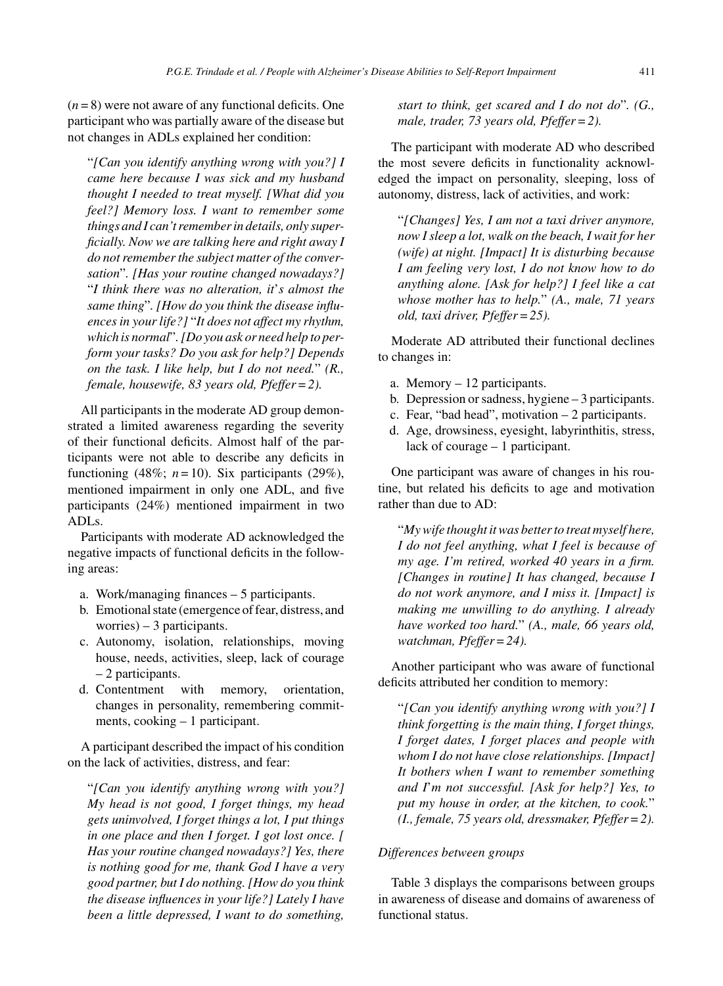$(n=8)$  were not aware of any functional deficits. One participant who was partially aware of the disease but not changes in ADLs explained her condition:

"*[Can you identify anything wrong with you?] I came here because I was sick and my husband thought I needed to treat myself. [What did you feel?] Memory loss. I want to remember some things and I can't remember in details, only superficially. Now we are talking here and right away I do not remember the subject matter of the conversation*"*. [Has your routine changed nowadays?]* "*I think there was no alteration, it*'*s almost the same thing*"*. [How do you think the disease influences in your life?]* "*It does not affect my rhythm, which is normal*"*. [Do you ask or need help to perform your tasks? Do you ask for help?] Depends on the task. I like help, but I do not need.*" *(R., female, housewife, 83 years old, Pfeffer* = *2).*

All participants in the moderate AD group demonstrated a limited awareness regarding the severity of their functional deficits. Almost half of the participants were not able to describe any deficits in functioning (48%;  $n = 10$ ). Six participants (29%), mentioned impairment in only one ADL, and five participants (24%) mentioned impairment in two ADLs.

Participants with moderate AD acknowledged the negative impacts of functional deficits in the following areas:

- a. Work/managing finances 5 participants.
- b. Emotional state (emergence of fear, distress, and worries) – 3 participants.
- c. Autonomy, isolation, relationships, moving house, needs, activities, sleep, lack of courage – 2 participants.
- d. Contentment with memory, orientation, changes in personality, remembering commitments, cooking – 1 participant.

A participant described the impact of his condition on the lack of activities, distress, and fear:

"*[Can you identify anything wrong with you?] My head is not good, I forget things, my head gets uninvolved, I forget things a lot, I put things in one place and then I forget. I got lost once. [ Has your routine changed nowadays?] Yes, there is nothing good for me, thank God I have a very good partner, but I do nothing. [How do you think the disease influences in your life?] Lately I have been a little depressed, I want to do something,*

*start to think, get scared and I do not do*"*. (G., male, trader, 73 years old, Pfeffer* = *2).*

The participant with moderate AD who described the most severe deficits in functionality acknowledged the impact on personality, sleeping, loss of autonomy, distress, lack of activities, and work:

"*[Changes] Yes, I am not a taxi driver anymore, now I sleep a lot, walk on the beach, I wait for her (wife) at night. [Impact] It is disturbing because I am feeling very lost, I do not know how to do anything alone. [Ask for help?] I feel like a cat whose mother has to help.*" *(A., male, 71 years old, taxi driver, Pfeffer* = *25).*

Moderate AD attributed their functional declines to changes in:

- a. Memory 12 participants.
- b. Depression or sadness, hygiene 3 participants.
- c. Fear, "bad head", motivation 2 participants.
- d. Age, drowsiness, eyesight, labyrinthitis, stress, lack of courage – 1 participant.

One participant was aware of changes in his routine, but related his deficits to age and motivation rather than due to AD:

"*My wife thought it was better to treat myself here, I do not feel anything, what I feel is because of my age. I'm retired, worked 40 years in a firm. [Changes in routine] It has changed, because I do not work anymore, and I miss it. [Impact] is making me unwilling to do anything. I already have worked too hard.*" *(A., male, 66 years old, watchman, Pfeffer* = *24).*

Another participant who was aware of functional deficits attributed her condition to memory:

"*[Can you identify anything wrong with you?] I think forgetting is the main thing, I forget things, I forget dates, I forget places and people with whom I do not have close relationships. [Impact] It bothers when I want to remember something and I*'*m not successful. [Ask for help?] Yes, to put my house in order, at the kitchen, to cook.*" *(I., female, 75 years old, dressmaker, Pfeffer* = *2).*

#### *Differences between groups*

Table 3 displays the comparisons between groups in awareness of disease and domains of awareness of functional status.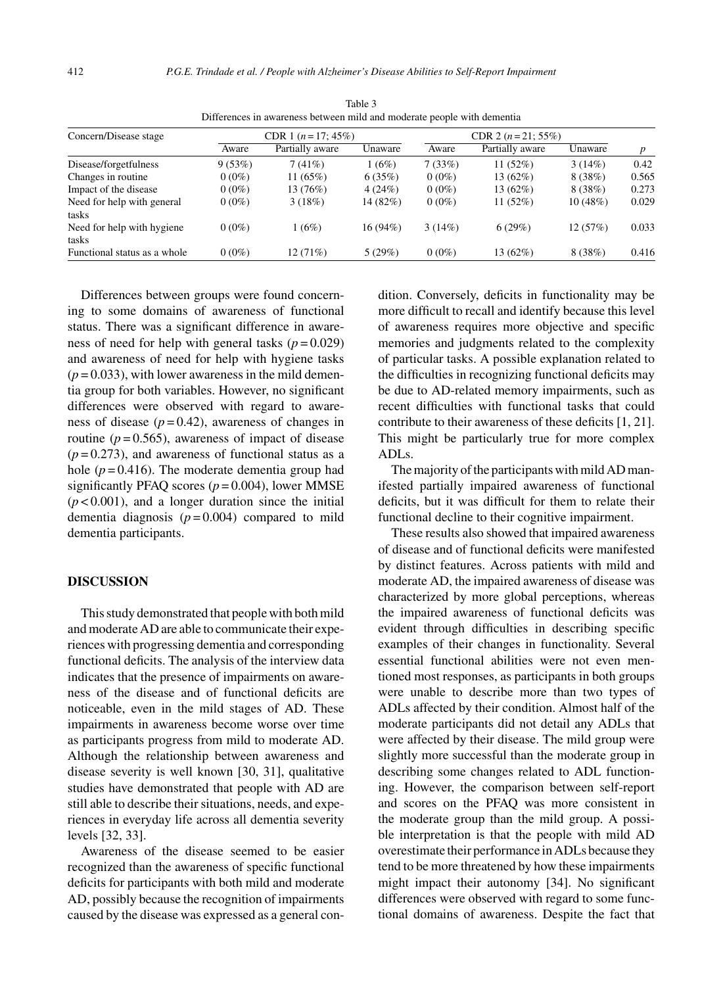| Concern/Disease stage                | CDR 1 $(n = 17; 45\%)$ |                 |          | CDR 2 $(n=21; 55\%)$ |                 |         |       |
|--------------------------------------|------------------------|-----------------|----------|----------------------|-----------------|---------|-------|
|                                      | Aware                  | Partially aware | Unaware  | Aware                | Partially aware | Unaware | D     |
| Disease/forgetfulness                | 9(53%)                 | 7(41%)          | (6%)     | 7(33%)               | 11(52%)         | 3(14%)  | 0.42  |
| Changes in routine.                  | $0(0\%)$               | 11(65%)         | 6(35%)   | $0(0\%)$             | $13(62\%)$      | 8(38%)  | 0.565 |
| Impact of the disease                | $0(0\%)$               | 13(76%)         | 4(24%)   | $0(0\%)$             | 13 (62%)        | 8(38%)  | 0.273 |
| Need for help with general<br>tasks  | $0(0\%)$               | 3(18%)          | 14 (82%) | $0(0\%)$             | 11(52%)         | 10(48%) | 0.029 |
| Need for help with hygiene.<br>tasks | $0(0\%)$               | 1(6%)           | 16(94%)  | 3(14%)               | 6(29%)          | 12(57%) | 0.033 |
| Functional status as a whole         | $0(0\%)$               | 12(71%)         | 5(29%)   | $0(0\%)$             | 13 (62%)        | 8(38%)  | 0.416 |

Table 3 Differences in awareness between mild and moderate people with dementia

Differences between groups were found concerning to some domains of awareness of functional status. There was a significant difference in awareness of need for help with general tasks  $(p=0.029)$ and awareness of need for help with hygiene tasks  $(p=0.033)$ , with lower awareness in the mild dementia group for both variables. However, no significant differences were observed with regard to awareness of disease  $(p=0.42)$ , awareness of changes in routine  $(p=0.565)$ , awareness of impact of disease  $(p=0.273)$ , and awareness of functional status as a hole  $(p=0.416)$ . The moderate dementia group had significantly PFAQ scores  $(p = 0.004)$ , lower MMSE  $(p<0.001)$ , and a longer duration since the initial dementia diagnosis  $(p=0.004)$  compared to mild dementia participants.

# **DISCUSSION**

This study demonstrated that people with both mild and moderate AD are able to communicate their experiences with progressing dementia and corresponding functional deficits. The analysis of the interview data indicates that the presence of impairments on awareness of the disease and of functional deficits are noticeable, even in the mild stages of AD. These impairments in awareness become worse over time as participants progress from mild to moderate AD. Although the relationship between awareness and disease severity is well known [30, 31], qualitative studies have demonstrated that people with AD are still able to describe their situations, needs, and experiences in everyday life across all dementia severity levels [32, 33].

Awareness of the disease seemed to be easier recognized than the awareness of specific functional deficits for participants with both mild and moderate AD, possibly because the recognition of impairments caused by the disease was expressed as a general condition. Conversely, deficits in functionality may be more difficult to recall and identify because this level of awareness requires more objective and specific memories and judgments related to the complexity of particular tasks. A possible explanation related to the difficulties in recognizing functional deficits may be due to AD-related memory impairments, such as recent difficulties with functional tasks that could contribute to their awareness of these deficits [1, 21]. This might be particularly true for more complex ADLs.

The majority of the participants with mild AD manifested partially impaired awareness of functional deficits, but it was difficult for them to relate their functional decline to their cognitive impairment.

These results also showed that impaired awareness of disease and of functional deficits were manifested by distinct features. Across patients with mild and moderate AD, the impaired awareness of disease was characterized by more global perceptions, whereas the impaired awareness of functional deficits was evident through difficulties in describing specific examples of their changes in functionality. Several essential functional abilities were not even mentioned most responses, as participants in both groups were unable to describe more than two types of ADLs affected by their condition. Almost half of the moderate participants did not detail any ADLs that were affected by their disease. The mild group were slightly more successful than the moderate group in describing some changes related to ADL functioning. However, the comparison between self-report and scores on the PFAQ was more consistent in the moderate group than the mild group. A possible interpretation is that the people with mild AD overestimate their performance in ADLs because they tend to be more threatened by how these impairments might impact their autonomy [34]. No significant differences were observed with regard to some functional domains of awareness. Despite the fact that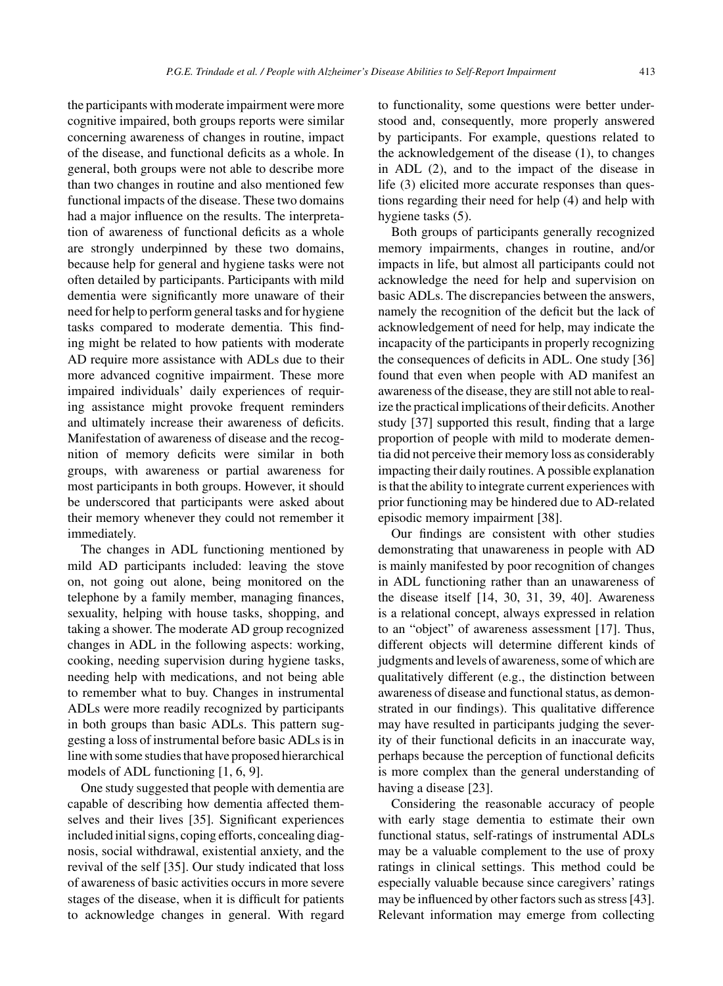the participants with moderate impairment were more cognitive impaired, both groups reports were similar concerning awareness of changes in routine, impact of the disease, and functional deficits as a whole. In general, both groups were not able to describe more than two changes in routine and also mentioned few functional impacts of the disease. These two domains had a major influence on the results. The interpretation of awareness of functional deficits as a whole are strongly underpinned by these two domains, because help for general and hygiene tasks were not often detailed by participants. Participants with mild dementia were significantly more unaware of their need for help to perform general tasks and for hygiene tasks compared to moderate dementia. This finding might be related to how patients with moderate AD require more assistance with ADLs due to their more advanced cognitive impairment. These more impaired individuals' daily experiences of requiring assistance might provoke frequent reminders and ultimately increase their awareness of deficits. Manifestation of awareness of disease and the recognition of memory deficits were similar in both groups, with awareness or partial awareness for most participants in both groups. However, it should be underscored that participants were asked about their memory whenever they could not remember it immediately.

The changes in ADL functioning mentioned by mild AD participants included: leaving the stove on, not going out alone, being monitored on the telephone by a family member, managing finances, sexuality, helping with house tasks, shopping, and taking a shower. The moderate AD group recognized changes in ADL in the following aspects: working, cooking, needing supervision during hygiene tasks, needing help with medications, and not being able to remember what to buy. Changes in instrumental ADLs were more readily recognized by participants in both groups than basic ADLs. This pattern suggesting a loss of instrumental before basic ADLs is in line with some studies that have proposed hierarchical models of ADL functioning [1, 6, 9].

One study suggested that people with dementia are capable of describing how dementia affected themselves and their lives [35]. Significant experiences included initial signs, coping efforts, concealing diagnosis, social withdrawal, existential anxiety, and the revival of the self [35]. Our study indicated that loss of awareness of basic activities occurs in more severe stages of the disease, when it is difficult for patients to acknowledge changes in general. With regard to functionality, some questions were better understood and, consequently, more properly answered by participants. For example, questions related to the acknowledgement of the disease (1), to changes in ADL (2), and to the impact of the disease in life (3) elicited more accurate responses than questions regarding their need for help (4) and help with hygiene tasks (5).

Both groups of participants generally recognized memory impairments, changes in routine, and/or impacts in life, but almost all participants could not acknowledge the need for help and supervision on basic ADLs. The discrepancies between the answers, namely the recognition of the deficit but the lack of acknowledgement of need for help, may indicate the incapacity of the participants in properly recognizing the consequences of deficits in ADL. One study [36] found that even when people with AD manifest an awareness of the disease, they are still not able to realize the practical implications of their deficits. Another study [37] supported this result, finding that a large proportion of people with mild to moderate dementia did not perceive their memory loss as considerably impacting their daily routines. A possible explanation is that the ability to integrate current experiences with prior functioning may be hindered due to AD-related episodic memory impairment [38].

Our findings are consistent with other studies demonstrating that unawareness in people with AD is mainly manifested by poor recognition of changes in ADL functioning rather than an unawareness of the disease itself [14, 30, 31, 39, 40]. Awareness is a relational concept, always expressed in relation to an "object" of awareness assessment [17]. Thus, different objects will determine different kinds of judgments and levels of awareness, some of which are qualitatively different (e.g., the distinction between awareness of disease and functional status, as demonstrated in our findings). This qualitative difference may have resulted in participants judging the severity of their functional deficits in an inaccurate way, perhaps because the perception of functional deficits is more complex than the general understanding of having a disease [23].

Considering the reasonable accuracy of people with early stage dementia to estimate their own functional status, self-ratings of instrumental ADLs may be a valuable complement to the use of proxy ratings in clinical settings. This method could be especially valuable because since caregivers' ratings may be influenced by other factors such as stress [43]. Relevant information may emerge from collecting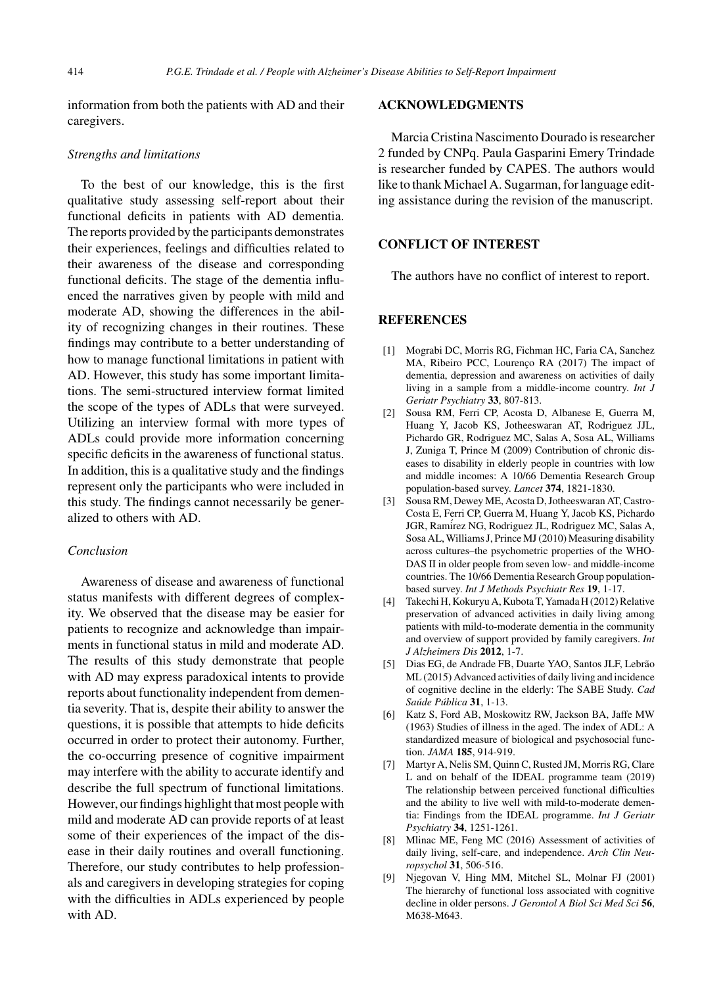information from both the patients with AD and their caregivers.

#### *Strengths and limitations*

To the best of our knowledge, this is the first qualitative study assessing self-report about their functional deficits in patients with AD dementia. The reports provided by the participants demonstrates their experiences, feelings and difficulties related to their awareness of the disease and corresponding functional deficits. The stage of the dementia influenced the narratives given by people with mild and moderate AD, showing the differences in the ability of recognizing changes in their routines. These findings may contribute to a better understanding of how to manage functional limitations in patient with AD. However, this study has some important limitations. The semi-structured interview format limited the scope of the types of ADLs that were surveyed. Utilizing an interview formal with more types of ADLs could provide more information concerning specific deficits in the awareness of functional status. In addition, this is a qualitative study and the findings represent only the participants who were included in this study. The findings cannot necessarily be generalized to others with AD.

#### *Conclusion*

Awareness of disease and awareness of functional status manifests with different degrees of complexity. We observed that the disease may be easier for patients to recognize and acknowledge than impairments in functional status in mild and moderate AD. The results of this study demonstrate that people with AD may express paradoxical intents to provide reports about functionality independent from dementia severity. That is, despite their ability to answer the questions, it is possible that attempts to hide deficits occurred in order to protect their autonomy. Further, the co-occurring presence of cognitive impairment may interfere with the ability to accurate identify and describe the full spectrum of functional limitations. However, our findings highlight that most people with mild and moderate AD can provide reports of at least some of their experiences of the impact of the disease in their daily routines and overall functioning. Therefore, our study contributes to help professionals and caregivers in developing strategies for coping with the difficulties in ADLs experienced by people with AD.

#### **ACKNOWLEDGMENTS**

Marcia Cristina Nascimento Dourado is researcher 2 funded by CNPq. Paula Gasparini Emery Trindade is researcher funded by CAPES. The authors would like to thank Michael A. Sugarman, for language editing assistance during the revision of the manuscript.

# **CONFLICT OF INTEREST**

The authors have no conflict of interest to report.

#### **REFERENCES**

- [1] Mograbi DC, Morris RG, Fichman HC, Faria CA, Sanchez MA, Ribeiro PCC, Lourenco RA (2017) The impact of dementia, depression and awareness on activities of daily living in a sample from a middle-income country. *Int J Geriatr Psychiatry* **33**, 807-813.
- [2] Sousa RM, Ferri CP, Acosta D, Albanese E, Guerra M, Huang Y, Jacob KS, Jotheeswaran AT, Rodriguez JJL, Pichardo GR, Rodriguez MC, Salas A, Sosa AL, Williams J, Zuniga T, Prince M (2009) Contribution of chronic diseases to disability in elderly people in countries with low and middle incomes: A 10/66 Dementia Research Group population-based survey. *Lancet* **374**, 1821-1830.
- [3] Sousa RM, Dewey ME, Acosta D, Jotheeswaran AT, Castro-Costa E, Ferri CP, Guerra M, Huang Y, Jacob KS, Pichardo JGR, Ramírez NG, Rodriguez JL, Rodriguez MC, Salas A, Sosa AL, Williams J, Prince MJ (2010) Measuring disability across cultures–the psychometric properties of the WHO-DAS II in older people from seven low- and middle-income countries. The 10/66 Dementia Research Group populationbased survey. *Int J Methods Psychiatr Res* **19**, 1-17.
- [4] Takechi H, Kokuryu A, Kubota T, Yamada H (2012) Relative preservation of advanced activities in daily living among patients with mild-to-moderate dementia in the community and overview of support provided by family caregivers. *Int J Alzheimers Dis* **2012**, 1-7.
- [5] Dias EG, de Andrade FB, Duarte YAO, Santos JLF, Lebrão ML (2015) Advanced activities of daily living and incidence of cognitive decline in the elderly: The SABE Study. *Cad Sa´ude P´ublica* **31**, 1-13.
- [6] Katz S, Ford AB, Moskowitz RW, Jackson BA, Jaffe MW (1963) Studies of illness in the aged. The index of ADL: A standardized measure of biological and psychosocial function. *JAMA* **185**, 914-919.
- [7] Martyr A, Nelis SM, Quinn C, Rusted JM, Morris RG, Clare L and on behalf of the IDEAL programme team (2019) The relationship between perceived functional difficulties and the ability to live well with mild-to-moderate dementia: Findings from the IDEAL programme. *Int J Geriatr Psychiatry* **34**, 1251-1261.
- [8] Mlinac ME, Feng MC (2016) Assessment of activities of daily living, self-care, and independence. *Arch Clin Neuropsychol* **31**, 506-516.
- [9] Njegovan V, Hing MM, Mitchel SL, Molnar FJ (2001) The hierarchy of functional loss associated with cognitive decline in older persons. *J Gerontol A Biol Sci Med Sci* **56**, M638-M643.